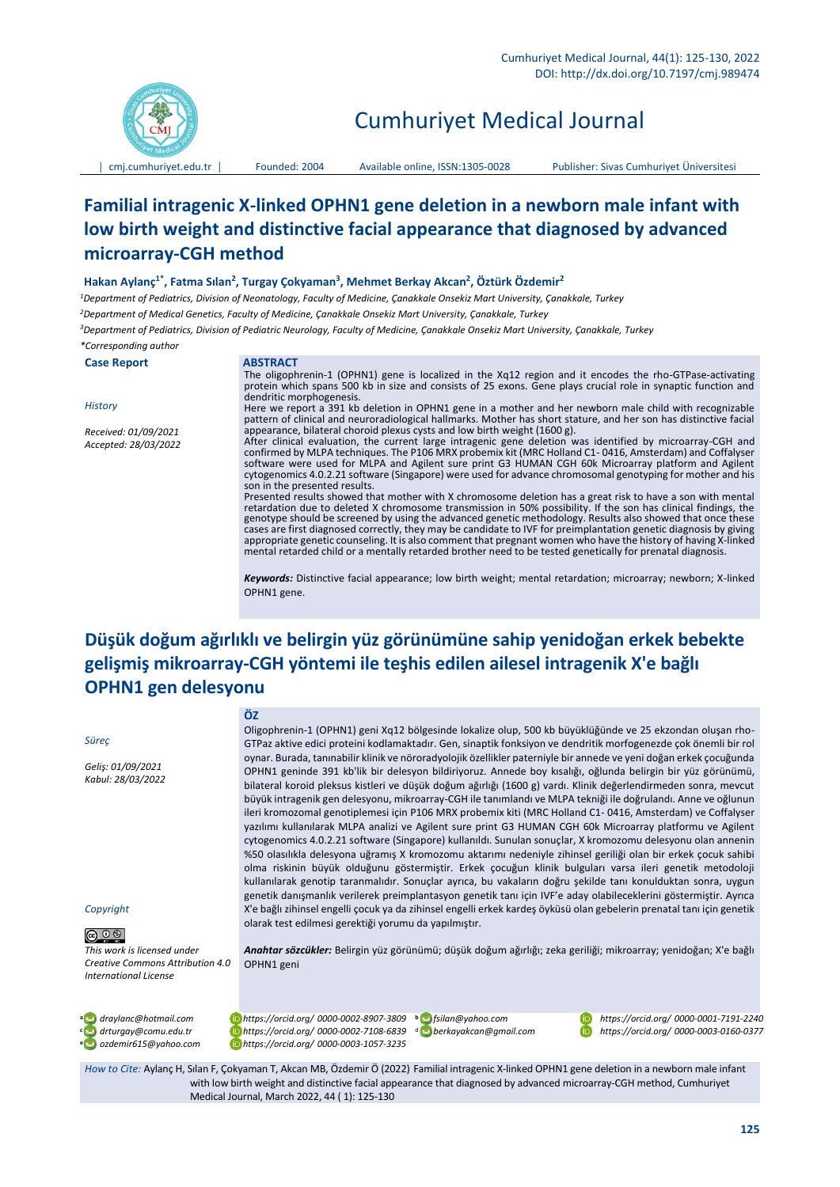

# Cumhuriyet Medical Journal

│ [cmj.cumhuriyet.edu.tr](http://xxx.cumhuriyet.edu.tr/) │ Founded: 2004 Available online, ISSN:1305-0028 Publisher: Sivas Cumhuriyet Üniversitesi

# **Familial intragenic X-linked OPHN1 gene deletion in a newborn male infant with low birth weight and distinctive facial appearance that diagnosed by advanced microarray-CGH method**

### **Hakan Aylanç1\* , Fatma Sılan<sup>2</sup> , Turgay Çokyaman<sup>3</sup> , Mehmet Berkay Akcan<sup>2</sup> , Öztürk Özdemir<sup>2</sup>**

*<sup>1</sup>Department of Pediatrics, Division of Neonatology, Faculty of Medicine, Çanakkale Onsekiz Mart University, Çanakkale, Turkey*

*<sup>2</sup>Department of Medical Genetics, Faculty of Medicine, Çanakkale Onsekiz Mart University, Çanakkale, Turkey*

*<sup>3</sup>Department of Pediatrics, Division of Pediatric Neurology, Faculty of Medicine, Çanakkale Onsekiz Mart University, Çanakkale, Turkey*

#### *\*Corresponding author*

**Case Report ABSTRACT**

#### *History*

*Received: 01/09/2021 Accepted: 28/03/2022*

The oligophrenin-1 (OPHN1) gene is localized in the Xq12 region and it encodes the rho-GTPase-activating protein which spans 500 kb in size and consists of 25 exons. Gene plays crucial role in synaptic function and dendritic morphogenesis.

Here we report a 391 kb deletion in OPHN1 gene in a mother and her newborn male child with recognizable pattern of clinical and neuroradiological hallmarks. Mother has short stature, and her son has distinctive facial appearance, bilateral choroid plexus cysts and low birth weight (1600 g). After clinical evaluation, the current large intragenic gene deletion was identified by microarray-CGH and

confirmed by MLPA techniques. The P106 MRX probemix kit (MRC Holland C1- 0416, Amsterdam) and Coffalyser software were used for MLPA and Agilent sure print G3 HUMAN CGH 60k Microarray platform and Agilent cytogenomics 4.0.2.21 software (Singapore) were used for advance chromosomal genotyping for mother and his son in the presented results.

Presented results showed that mother with X chromosome deletion has a great risk to have a son with mental retardation due to deleted X chromosome transmission in 50% possibility. If the son has clinical findings, the genotype should be screened by using the advanced genetic methodology. Results also showed that once these cases are first diagnosed correctly, they may be candidate to IVF for preimplantation genetic diagnosis by giving appropriate genetic counseling. It is also comment that pregnant women who have the history of having X-linked mental retarded child or a mentally retarded brother need to be tested genetically for prenatal diagnosis.

*Keywords:* Distinctive facial appearance; low birth weight; mental retardation; microarray; newborn; X-linked OPHN1 gene.

# **Düşük doğum ağırlıklı ve belirgin yüz görünümüne sahip yenidoğan erkek bebekte gelişmiş mikroarray-CGH yöntemi ile teşhis edilen ailesel intragenik X'e bağlı OPHN1 gen delesyonu**

#### *Süreç*

*Geliş: 01/09/2021 Kabul: 28/03/2022*

#### *Copyright*

 $\bigcirc$   $\circ$   $\circ$ 

*This work is licensed under Creative Commons Attribution 4.0 International License*

**ÖZ**

Oligophrenin-1 (OPHN1) geni Xq12 bölgesinde lokalize olup, 500 kb büyüklüğünde ve 25 ekzondan oluşan rho-GTPaz aktive edici proteini kodlamaktadır. Gen, sinaptik fonksiyon ve dendritik morfogenezde çok önemli bir rol oynar. Burada, tanınabilir klinik ve nöroradyolojik özellikler paterniyle bir annede ve yeni doğan erkek çocuğunda OPHN1 geninde 391 kb'lik bir delesyon bildiriyoruz. Annede boy kısalığı, oğlunda belirgin bir yüz görünümü, bilateral koroid pleksus kistleri ve düşük doğum ağırlığı (1600 g) vardı. Klinik değerlendirmeden sonra, mevcut büyük intragenik gen delesyonu, mikroarray-CGH ile tanımlandı ve MLPA tekniği ile doğrulandı. Anne ve oğlunun ileri kromozomal genotiplemesi için P106 MRX probemix kiti (MRC Holland C1- 0416, Amsterdam) ve Coffalyser yazılımı kullanılarak MLPA analizi ve Agilent sure print G3 HUMAN CGH 60k Microarray platformu ve Agilent cytogenomics 4.0.2.21 software (Singapore) kullanıldı. Sunulan sonuçlar, X kromozomu delesyonu olan annenin %50 olasılıkla delesyona uğramış X kromozomu aktarımı nedeniyle zihinsel geriliği olan bir erkek çocuk sahibi olma riskinin büyük olduğunu göstermiştir. Erkek çocuğun klinik bulguları varsa ileri genetik metodoloji kullanılarak genotip taranmalıdır. Sonuçlar ayrıca, bu vakaların doğru şekilde tanı konulduktan sonra, uygun genetik danışmanlık verilerek preimplantasyon genetik tanı için IVF'e aday olabileceklerini göstermiştir. Ayrıca X'e bağlı zihinsel engelli çocuk ya da zihinsel engelli erkek kardeş öyküsü olan gebelerin prenatal tanı için genetik olarak test edilmesi gerektiği yorumu da yapılmıştır.

*Anahtar sözcükler:* Belirgin yüz görünümü; düşük doğum ağırlığı; zeka geriliği; mikroarray; yenidoğan; X'e bağlı OPHN1 geni

**<sup>a</sup>** *draylanc@hotmail.com https://orcid.org/ 0000-0002-8907-3809***<sup>b</sup> <sup>c</sup>** *drturgay@comu.edu.tr https://orcid.org/ 0000-0002-7108-6839*<sup>d</sup> *berkayakcan@gmail.com https://orcid.org/ 0000-0003-0160-0377* **<sup>e</sup>** *ozdemir615@yahoo.com https://orcid.org/ 0000-0003-1057-3235*

*fsilan@yahoo.com https://orcid.org/ 0000-0001-7191-2240*

*How to Cite:* Aylanç H, Sılan F, Çokyaman T, Akcan MB, Özdemir Ö (2022) Familial intragenic X-linked OPHN1 gene deletion in a newborn male infant with low birth weight and distinctive facial appearance that diagnosed by advanced microarray-CGH method, Cumhuriyet Medical Journal, March 2022, 44 ( 1): 125-130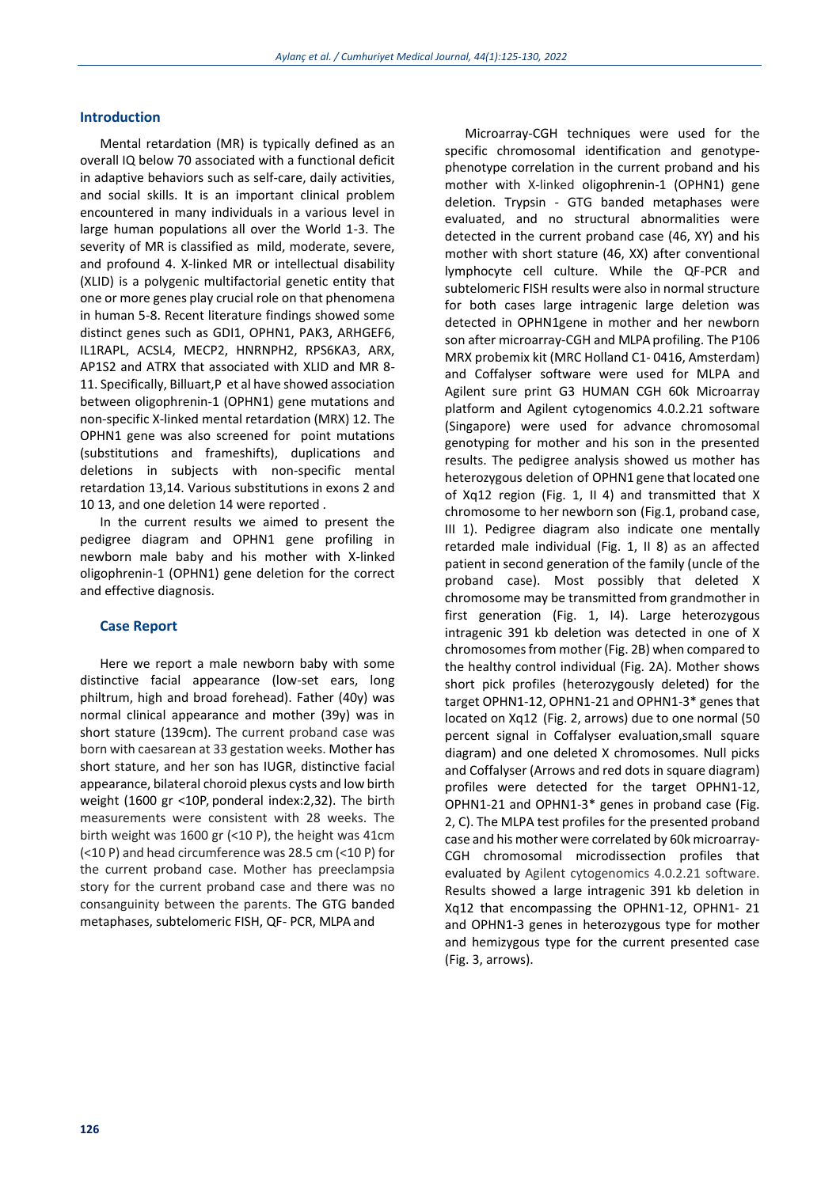## **Introduction**

Mental retardation (MR) is typically defined as an overall IQ below 70 associated with a functional deficit in adaptive behaviors such as self-care, daily activities, and social skills. It is an important clinical problem encountered in many individuals in a various level in large human populations all over the World 1-3. The severity of MR is classified as mild, moderate, severe, and profound 4. X-linked MR or intellectual disability (XLID) is a polygenic multifactorial genetic entity that one or more genes play crucial role on that phenomena in human 5-8. Recent literature findings showed some distinct genes such as GDI1, OPHN1, PAK3, ARHGEF6, IL1RAPL, ACSL4, MECP2, HNRNPH2, RPS6KA3, ARX, AP1S2 and ATRX that associated with XLID and MR 8- 11. Specifically, Billuart,P et al have showed association between oligophrenin-1 (OPHN1) gene mutations and non-specific X-linked mental retardation (MRX) 12. The OPHN1 gene was also screened for point mutations (substitutions and frameshifts), duplications and deletions in subjects with non-specific mental retardation 13,14. Various substitutions in exons 2 and 10 13, and one deletion 14 were reported .

In the current results we aimed to present the pedigree diagram and OPHN1 gene profiling in newborn male baby and his mother with X-linked oligophrenin-1 (OPHN1) gene deletion for the correct and effective diagnosis.

# **Case Report**

Here we report a male newborn baby with some distinctive facial appearance (low-set ears, long philtrum, high and broad forehead). Father (40y) was normal clinical appearance and mother (39y) was in short stature (139cm). The current proband case was born with caesarean at 33 gestation weeks. Mother has short stature, and her son has IUGR, distinctive facial appearance, bilateral choroid plexus cysts and low birth weight (1600 gr <10P, ponderal index:2,32). The birth measurements were consistent with 28 weeks. The birth weight was 1600 gr (<10 P), the height was 41cm (<10 P) and head circumference was 28.5 cm (<10 P) for the current proband case. Mother has preeclampsia story for the current proband case and there was no consanguinity between the parents. The GTG banded metaphases, subtelomeric FISH, QF- PCR, MLPA and

Microarray-CGH techniques were used for the specific chromosomal identification and genotypephenotype correlation in the current proband and his mother with X-linked oligophrenin-1 (OPHN1) gene deletion. Trypsin - GTG banded metaphases were evaluated, and no structural abnormalities were detected in the current proband case (46, XY) and his mother with short stature (46, XX) after conventional lymphocyte cell culture. While the QF-PCR and subtelomeric FISH results were also in normal structure for both cases large intragenic large deletion was detected in OPHN1gene in mother and her newborn son after microarray-CGH and MLPA profiling. The P106 MRX probemix kit (MRC Hollan[d C1-](https://www.mlpa.com/WebForms/WebFormDBData.aspx?FileOID=_e-8-HYX4naE) [0416,](https://www.mlpa.com/WebForms/WebFormDBData.aspx?FileOID=_e-8-HYX4naE) Amsterdam) and Coffalyser software were used for MLPA and Agilent sure print G3 HUMAN CGH 60k Microarray platform and Agilent cytogenomics 4.0.2.21 software (Singapore) were used for advance chromosomal genotyping for mother and his son in the presented results. The pedigree analysis showed us mother has heterozygous deletion of OPHN1 gene that located one of Xq12 region (Fig. 1, II 4) and transmitted that X chromosome to her newborn son (Fig.1, proband case, III 1). Pedigree diagram also indicate one mentally retarded male individual (Fig. 1, II 8) as an affected patient in second generation of the family (uncle of the proband case). Most possibly that deleted X chromosome may be transmitted from grandmother in first generation (Fig. 1, I4). Large heterozygous intragenic 391 kb deletion was detected in one of X chromosomes from mother (Fig. 2B) when compared to the healthy control individual (Fig. 2A). Mother shows short pick profiles (heterozygously deleted) for the target OPHN1-12, OPHN1-21 and OPHN1-3\* genes that located on Xq12 (Fig. 2, arrows) due to one normal (50 percent signal in Coffalyser evaluation,small square diagram) and one deleted X chromosomes. Null picks and Coffalyser (Arrows and red dots in square diagram) profiles were detected for the target OPHN1-12, OPHN1-21 and OPHN1-3\* genes in proband case (Fig. 2, C). The MLPA test profiles for the presented proband case and his mother were correlated by 60k microarray-CGH chromosomal microdissection profiles that evaluated by Agilent cytogenomics 4.0.2.21 software. Results showed a large intragenic 391 kb deletion in Xq12 that encompassing the OPHN1-12, OPHN1- 21 and OPHN1-3 genes in heterozygous type for mother and hemizygous type for the current presented case (Fig. 3, arrows).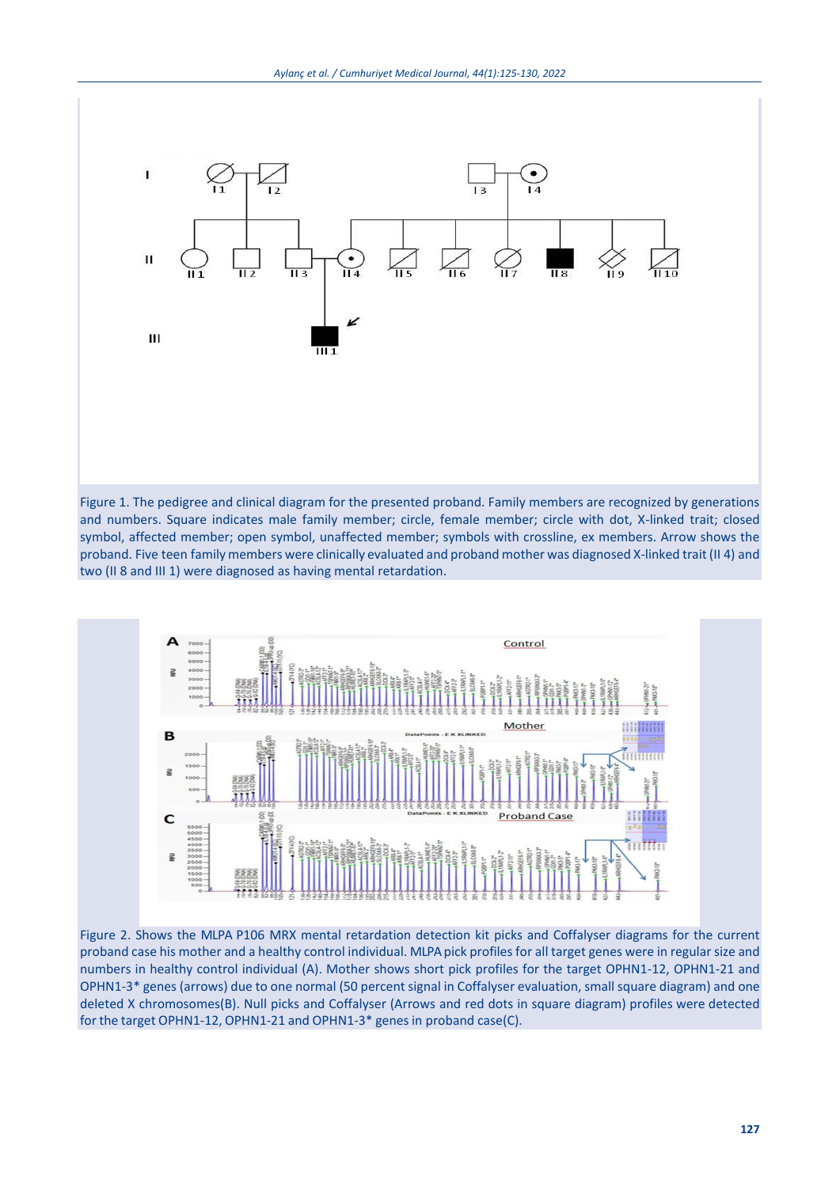

Figure 1. The pedigree and clinical diagram for the presented proband. Family members are recognized by generations and numbers. Square indicates male family member; circle, female member; circle with dot, X-linked trait; closed symbol, affected member; open symbol, unaffected member; symbols with crossline, ex members. Arrow shows the proband. Five teen family members were clinically evaluated and proband mother was diagnosed X-linked trait (II 4) and two (II 8 and III 1) were diagnosed as having mental retardation.



Figure 2. Shows the MLPA P106 MRX mental retardation detection kit picks and Coffalyser diagrams for the current proband case his mother and a healthy control individual. MLPA pick profiles for all target genes were in regular size and numbers in healthy control individual (A). Mother shows short pick profiles for the target OPHN1-12, OPHN1-21 and OPHN1-3\* genes (arrows) due to one normal (50 percent signal in Coffalyser evaluation, small square diagram) and one deleted X chromosomes(B). Null picks and Coffalyser (Arrows and red dots in square diagram) profiles were detected for the target OPHN1-12, OPHN1-21 and OPHN1-3\* genesin proband case(C).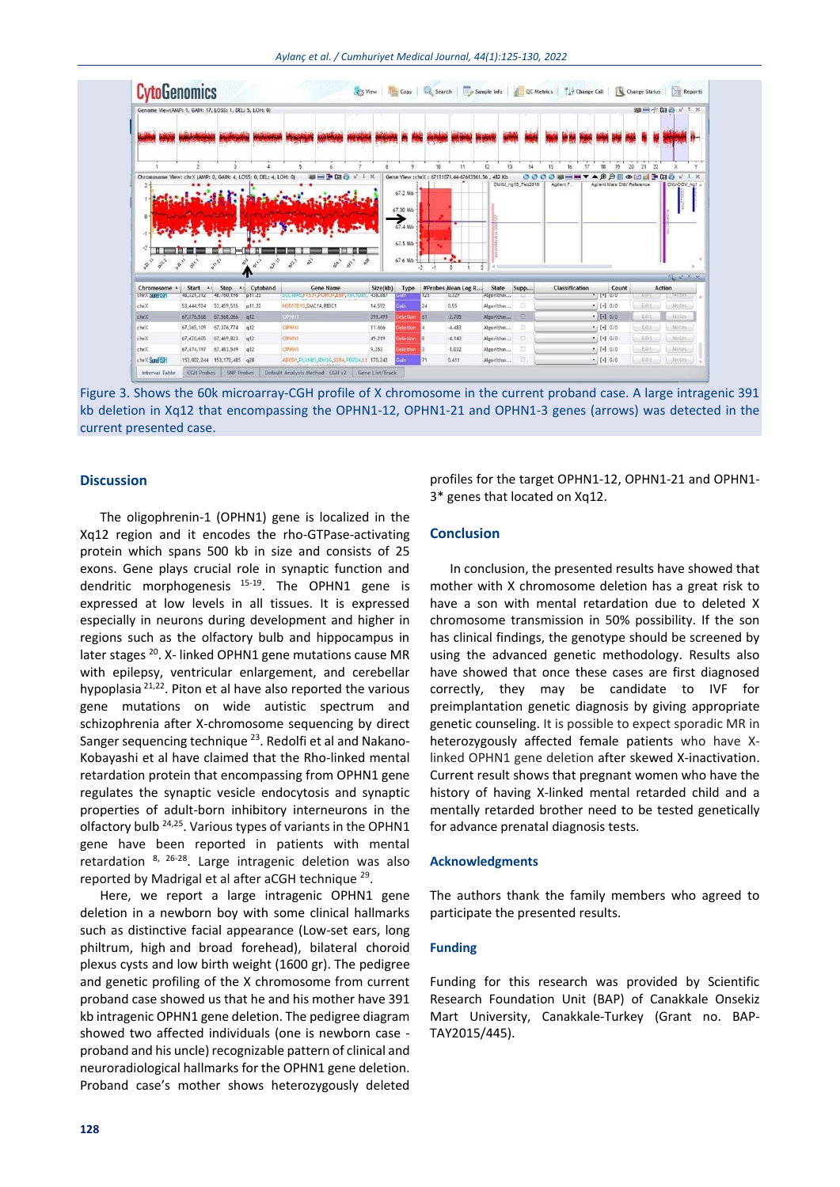

Figure 3. Shows the 60k microarray-CGH profile of X chromosome in the current proband case. A large intragenic 391 kb deletion in Xq12 that encompassing the OPHN1-12, OPHN1-21 and OPHN1-3 genes (arrows) was detected in the current presented case.

## **Discussion**

The oligophrenin-1 (OPHN1) gene is localized in the Xq12 region and it encodes the rho-GTPase-activating protein which spans 500 kb in size and consists of 25 exons. Gene plays crucial role in synaptic function and dendritic morphogenesis  $15-19$ . The OPHN1 gene is expressed at low levels in all tissues. It is expressed especially in neurons during development and higher in regions such as the olfactory bulb and hippocampus in later stages <sup>20</sup>. X- linked OPHN1 gene mutations cause MR with epilepsy, ventricular enlargement, and cerebellar hypoplasia 21,22. Piton et al have also reported the various gene mutations on wide autistic spectrum and schizophrenia after X-chromosome sequencing by direct Sanger sequencing technique 23. Redolfi et al and Nakano-Kobayashi et al have claimed that the Rho-linked mental retardation protein that encompassing from OPHN1 gene regulates the synaptic vesicle endocytosis and synaptic properties of adult-born inhibitory interneurons in the olfactory bulb <sup>24,25</sup>. Various types of variants in the OPHN1 gene have been reported in patients with mental retardation <sup>8, 26-28</sup>. Large intragenic deletion was also reported by Madrigal et al after aCGH technique <sup>29</sup>.

Here, we report a large intragenic OPHN1 gene deletion in a newborn boy with some clinical hallmarks such as distinctive facial appearance (Low-set ears, long philtrum, high and broad forehead), bilateral choroid plexus cysts and low birth weight (1600 gr). The pedigree and genetic profiling of the X chromosome from current proband case showed us that he and his mother have 391 kb intragenic OPHN1 gene deletion. The pedigree diagram showed two affected individuals (one is newborn case proband and his uncle) recognizable pattern of clinical and neuroradiological hallmarks for the OPHN1 gene deletion. Proband case's mother shows heterozygously deleted

profiles for the target OPHN1-12, OPHN1-21 and OPHN1- 3\* genes that located on Xq12.

# **Conclusion**

In conclusion, the presented results have showed that mother with X chromosome deletion has a great risk to have a son with mental retardation due to deleted X chromosome transmission in 50% possibility. If the son has clinical findings, the genotype should be screened by using the advanced genetic methodology. Results also have showed that once these cases are first diagnosed correctly, they may be candidate to IVF for preimplantation genetic diagnosis by giving appropriate genetic counseling. It is possible to expect sporadic MR in heterozygously affected female patients who have Xlinked OPHN1 gene deletion after skewed X-inactivation. Current result shows that pregnant women who have the history of having X-linked mental retarded child and a mentally retarded brother need to be tested genetically for advance prenatal diagnosis tests.

#### **Acknowledgments**

The authors thank the family members who agreed to participate the presented results.

#### **Funding**

Funding for this research was provided by Scientific Research Foundation Unit (BAP) of Canakkale Onsekiz Mart University, Canakkale-Turkey (Grant no. BAP-TAY2015/445).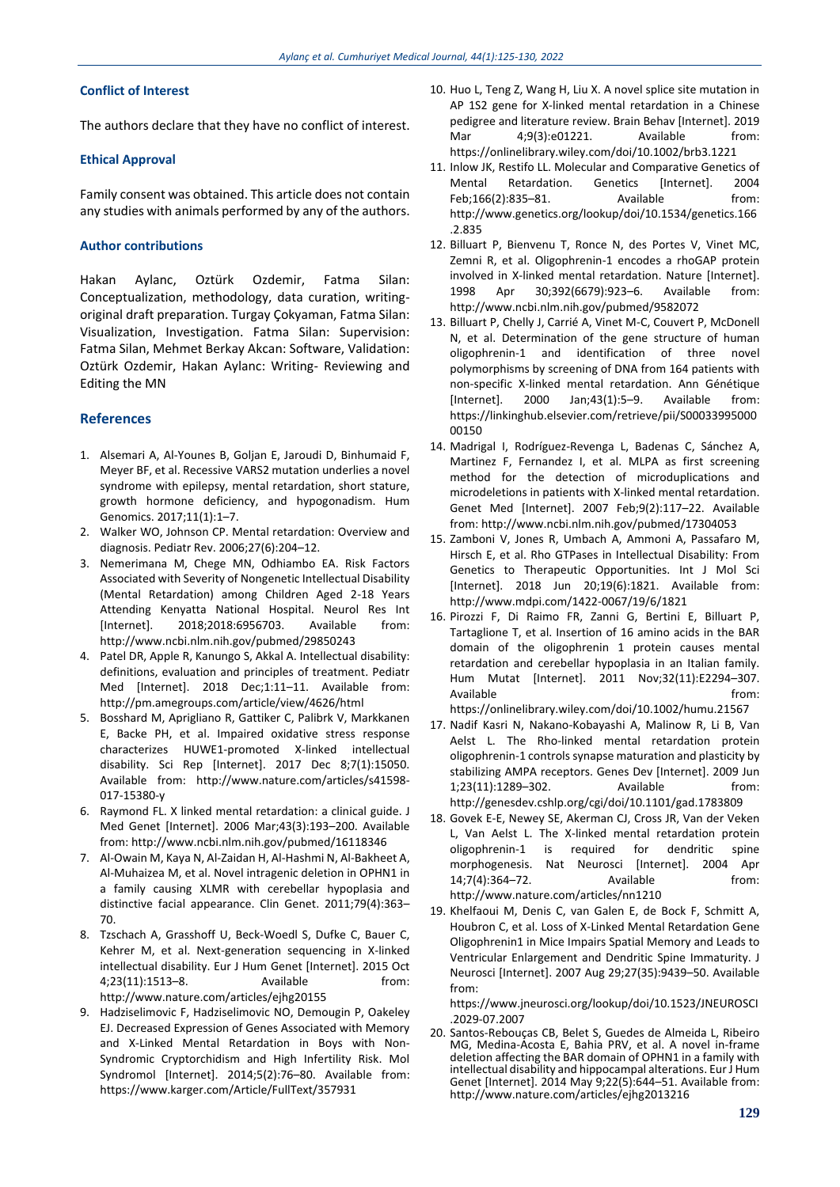## **Conflict of Interest**

The authors declare that they have no conflict of interest.

### **Ethical Approval**

Family consent was obtained. This article does not contain any studies with animals performed by any of the authors.

#### **Author contributions**

Hakan Aylanc, Oztürk Ozdemir, Fatma Silan: Conceptualization, methodology, data curation, writingoriginal draft preparation. Turgay Çokyaman, Fatma Silan: Visualization, Investigation. Fatma Silan: Supervision: Fatma Silan, Mehmet Berkay Akcan: Software, Validation: Oztürk Ozdemir, Hakan Aylanc: Writing- Reviewing and Editing the MN

#### **References**

- 1. Alsemari A, Al-Younes B, Goljan E, Jaroudi D, Binhumaid F, Meyer BF, et al. Recessive VARS2 mutation underlies a novel syndrome with epilepsy, mental retardation, short stature, growth hormone deficiency, and hypogonadism. Hum Genomics. 2017;11(1):1–7.
- 2. Walker WO, Johnson CP. Mental retardation: Overview and diagnosis. Pediatr Rev. 2006;27(6):204–12.
- 3. Nemerimana M, Chege MN, Odhiambo EA. Risk Factors Associated with Severity of Nongenetic Intellectual Disability (Mental Retardation) among Children Aged 2-18 Years Attending Kenyatta National Hospital. Neurol Res Int [Internet]. 2018;2018:6956703. Available from: http://www.ncbi.nlm.nih.gov/pubmed/29850243
- 4. Patel DR, Apple R, Kanungo S, Akkal A. Intellectual disability: definitions, evaluation and principles of treatment. Pediatr Med [Internet]. 2018 Dec;1:11–11. Available from: http://pm.amegroups.com/article/view/4626/html
- 5. Bosshard M, Aprigliano R, Gattiker C, Palibrk V, Markkanen E, Backe PH, et al. Impaired oxidative stress response characterizes HUWE1-promoted X-linked intellectual disability. Sci Rep [Internet]. 2017 Dec 8;7(1):15050. Available from: http://www.nature.com/articles/s41598- 017-15380-y
- 6. Raymond FL. X linked mental retardation: a clinical guide. J Med Genet [Internet]. 2006 Mar;43(3):193–200. Available from: http://www.ncbi.nlm.nih.gov/pubmed/16118346
- 7. Al-Owain M, Kaya N, Al-Zaidan H, Al-Hashmi N, Al-Bakheet A, Al-Muhaizea M, et al. Novel intragenic deletion in OPHN1 in a family causing XLMR with cerebellar hypoplasia and distinctive facial appearance. Clin Genet. 2011;79(4):363– 70.
- 8. Tzschach A, Grasshoff U, Beck-Woedl S, Dufke C, Bauer C, Kehrer M, et al. Next-generation sequencing in X-linked intellectual disability. Eur J Hum Genet [Internet]. 2015 Oct 4;23(11):1513–8. Available from: http://www.nature.com/articles/ejhg20155
- 9. Hadziselimovic F, Hadziselimovic NO, Demougin P, Oakeley EJ. Decreased Expression of Genes Associated with Memory and X-Linked Mental Retardation in Boys with Non-Syndromic Cryptorchidism and High Infertility Risk. Mol Syndromol [Internet]. 2014;5(2):76–80. Available from: https://www.karger.com/Article/FullText/357931
- 10. Huo L, Teng Z, Wang H, Liu X. A novel splice site mutation in AP 1S2 gene for X‐linked mental retardation in a Chinese pedigree and literature review. Brain Behav [Internet]. 2019 Mar 4;9(3):e01221. Available from: https://onlinelibrary.wiley.com/doi/10.1002/brb3.1221
- 11. Inlow JK, Restifo LL. Molecular and Comparative Genetics of Mental Retardation. Genetics [Internet]. 2004 Feb;166(2):835-81. Available from: http://www.genetics.org/lookup/doi/10.1534/genetics.166 .2.835
- 12. Billuart P, Bienvenu T, Ronce N, des Portes V, Vinet MC, Zemni R, et al. Oligophrenin-1 encodes a rhoGAP protein involved in X-linked mental retardation. Nature [Internet]. 1998 Apr 30;392(6679):923–6. Available from: http://www.ncbi.nlm.nih.gov/pubmed/9582072
- 13. Billuart P, Chelly J, Carrié A, Vinet M-C, Couvert P, McDonell N, et al. Determination of the gene structure of human oligophrenin-1 and identification of three novel polymorphisms by screening of DNA from 164 patients with non-specific X-linked mental retardation. Ann Génétique [Internet]. 2000 Jan;43(1):5–9. Available from: https://linkinghub.elsevier.com/retrieve/pii/S00033995000 00150
- 14. Madrigal I, Rodríguez-Revenga L, Badenas C, Sánchez A, Martinez F, Fernandez I, et al. MLPA as first screening method for the detection of microduplications and microdeletions in patients with X-linked mental retardation. Genet Med [Internet]. 2007 Feb;9(2):117–22. Available from: http://www.ncbi.nlm.nih.gov/pubmed/17304053
- 15. Zamboni V, Jones R, Umbach A, Ammoni A, Passafaro M, Hirsch E, et al. Rho GTPases in Intellectual Disability: From Genetics to Therapeutic Opportunities. Int J Mol Sci [Internet]. 2018 Jun 20;19(6):1821. Available from: http://www.mdpi.com/1422-0067/19/6/1821
- 16. Pirozzi F, Di Raimo FR, Zanni G, Bertini E, Billuart P, Tartaglione T, et al. Insertion of 16 amino acids in the BAR domain of the oligophrenin 1 protein causes mental retardation and cerebellar hypoplasia in an Italian family. Hum Mutat [Internet]. 2011 Nov;32(11):E2294–307. Available **from:** https://onlinelibrary.wiley.com/doi/10.1002/humu.21567

- 17. Nadif Kasri N, Nakano-Kobayashi A, Malinow R, Li B, Van Aelst L. The Rho-linked mental retardation protein oligophrenin-1 controls synapse maturation and plasticity by stabilizing AMPA receptors. Genes Dev [Internet]. 2009 Jun 1;23(11):1289–302. Available from: http://genesdev.cshlp.org/cgi/doi/10.1101/gad.1783809
- 18. Govek E-E, Newey SE, Akerman CJ, Cross JR, Van der Veken L, Van Aelst L. The X-linked mental retardation protein oligophrenin-1 is required for dendritic spine morphogenesis. Nat Neurosci [Internet]. 2004 Apr 14;7(4):364–72. Available from: http://www.nature.com/articles/nn1210
- 19. Khelfaoui M, Denis C, van Galen E, de Bock F, Schmitt A, Houbron C, et al. Loss of X-Linked Mental Retardation Gene Oligophrenin1 in Mice Impairs Spatial Memory and Leads to Ventricular Enlargement and Dendritic Spine Immaturity. J Neurosci [Internet]. 2007 Aug 29;27(35):9439–50. Available from:

https://www.jneurosci.org/lookup/doi/10.1523/JNEUROSCI .2029-07.2007

20. Santos-Rebouças CB, Belet S, Guedes de Almeida L, Ribeiro MG, Medina-Acosta E, Bahia PRV, et al. A novel in-frame deletion affecting the BAR domain of OPHN1 in a family with intellectual disability and hippocampal alterations. Eur J Hum Genet [Internet]. 2014 May 9;22(5):644–51. Available from: http://www.nature.com/articles/ejhg2013216